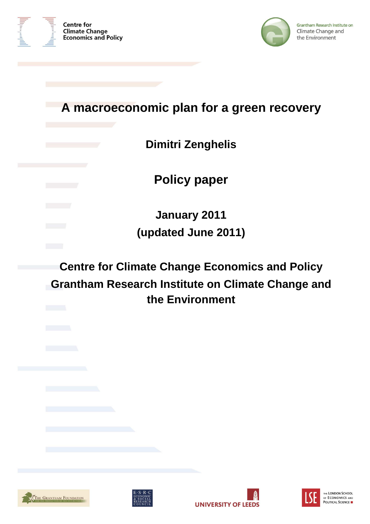



# **A macroeconomic plan for a green recovery**

# **Dimitri Zenghelis**

**Policy paper** 

**January 2011 (updated June 2011)** 

**Centre for Climate Change Economics and Policy Grantham Research Institute on Climate Change and the Environment** 







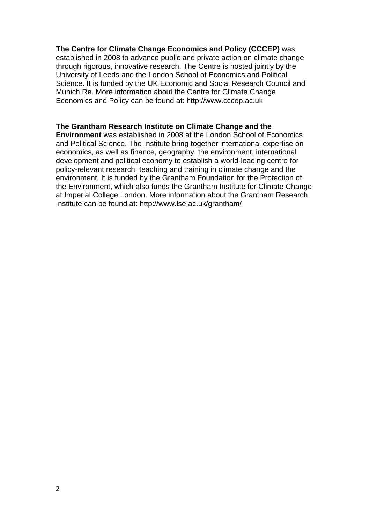#### **The Centre for Climate Change Economics and Policy (CCCEP)** was

established in 2008 to advance public and private action on climate change through rigorous, innovative research. The Centre is hosted jointly by the University of Leeds and the London School of Economics and Political Science. It is funded by the UK Economic and Social Research Council and Munich Re. More information about the Centre for Climate Change Economics and Policy can be found at: http://www.cccep.ac.uk

#### **The Grantham Research Institute on Climate Change and the**

**Environment** was established in 2008 at the London School of Economics and Political Science. The Institute bring together international expertise on economics, as well as finance, geography, the environment, international development and political economy to establish a world-leading centre for policy-relevant research, teaching and training in climate change and the environment. It is funded by the Grantham Foundation for the Protection of the Environment, which also funds the Grantham Institute for Climate Change at Imperial College London. More information about the Grantham Research Institute can be found at: http://www.lse.ac.uk/grantham/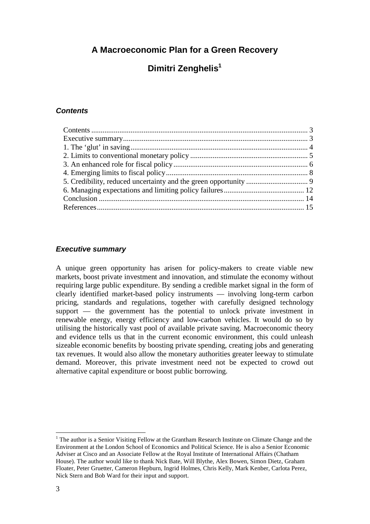**A Macroeconomic Plan for a Green Recovery** 

# **Dimitri Zenghelis<sup>1</sup>**

# **Contents**

## **Executive summary**

A unique green opportunity has arisen for policy-makers to create viable new markets, boost private investment and innovation, and stimulate the economy without requiring large public expenditure. By sending a credible market signal in the form of clearly identified market-based policy instruments — involving long-term carbon pricing, standards and regulations, together with carefully designed technology support — the government has the potential to unlock private investment in renewable energy, energy efficiency and low-carbon vehicles. It would do so by utilising the historically vast pool of available private saving. Macroeconomic theory and evidence tells us that in the current economic environment, this could unleash sizeable economic benefits by boosting private spending, creating jobs and generating tax revenues. It would also allow the monetary authorities greater leeway to stimulate demand. Moreover, this private investment need not be expected to crowd out alternative capital expenditure or boost public borrowing.

<sup>&</sup>lt;sup>1</sup> The author is a Senior Visiting Fellow at the Grantham Research Institute on Climate Change and the Environment at the London School of Economics and Political Science. He is also a Senior Economic Adviser at Cisco and an Associate Fellow at the Royal Institute of International Affairs (Chatham House). The author would like to thank Nick Bate, Will Blythe, Alex Bowen, Simon Dietz, Graham Floater, Peter Gruetter, Cameron Hepburn, Ingrid Holmes, Chris Kelly, Mark Kenber, Carlota Perez, Nick Stern and Bob Ward for their input and support.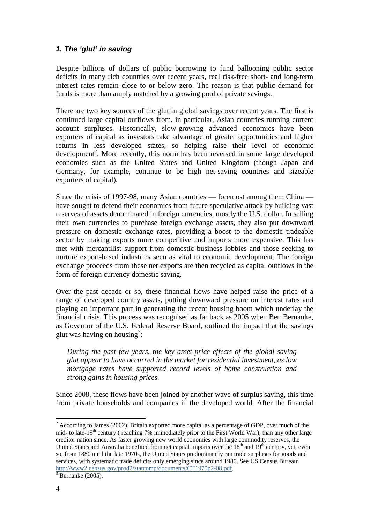# **1. The 'glut' in saving**

Despite billions of dollars of public borrowing to fund ballooning public sector deficits in many rich countries over recent years, real risk-free short- and long-term interest rates remain close to or below zero. The reason is that public demand for funds is more than amply matched by a growing pool of private savings.

There are two key sources of the glut in global savings over recent years. The first is continued large capital outflows from, in particular, Asian countries running current account surpluses. Historically, slow-growing advanced economies have been exporters of capital as investors take advantage of greater opportunities and higher returns in less developed states, so helping raise their level of economic development<sup>2</sup>. More recently, this norm has been reversed in some large developed economies such as the United States and United Kingdom (though Japan and Germany, for example, continue to be high net-saving countries and sizeable exporters of capital).

Since the crisis of 1997-98, many Asian countries — foremost among them China have sought to defend their economies from future speculative attack by building vast reserves of assets denominated in foreign currencies, mostly the U.S. dollar. In selling their own currencies to purchase foreign exchange assets, they also put downward pressure on domestic exchange rates, providing a boost to the domestic tradeable sector by making exports more competitive and imports more expensive. This has met with mercantilist support from domestic business lobbies and those seeking to nurture export-based industries seen as vital to economic development. The foreign exchange proceeds from these net exports are then recycled as capital outflows in the form of foreign currency domestic saving.

Over the past decade or so, these financial flows have helped raise the price of a range of developed country assets, putting downward pressure on interest rates and playing an important part in generating the recent housing boom which underlay the financial crisis. This process was recognised as far back as 2005 when Ben Bernanke, as Governor of the U.S. Federal Reserve Board, outlined the impact that the savings glut was having on housing<sup>3</sup>:

*During the past few years, the key asset-price effects of the global saving glut appear to have occurred in the market for residential investment, as low mortgage rates have supported record levels of home construction and strong gains in housing prices.* 

Since 2008, these flows have been joined by another wave of surplus saving, this time from private households and companies in the developed world. After the financial

 $2^{2}$  According to James (2002), Britain exported more capital as a percentage of GDP, over much of the mid- to late-19<sup>th</sup> century ( reaching 7% immediately prior to the First World War), than any other large creditor nation since. As faster growing new world economies with large commodity reserves, the United States and Australia benefited from net capital imports over the  $18<sup>th</sup>$  and  $19<sup>th</sup>$  century, yet, even so, from 1880 until the late 1970s, the United States predominantly ran trade surpluses for goods and services, with systematic trade deficits only emerging since around 1980. See US Census Bureau: http://www2.census.gov/prod2/statcomp/documents/CT1970p2-08.pdf.

 $3$  Bernanke (2005).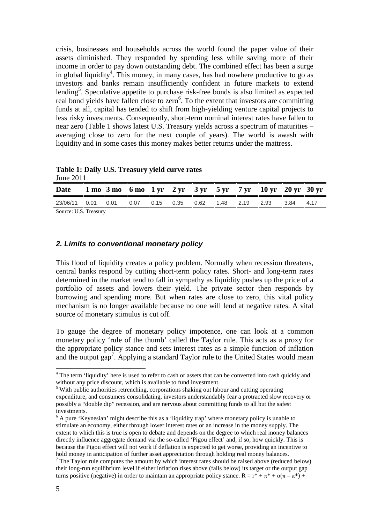crisis, businesses and households across the world found the paper value of their assets diminished. They responded by spending less while saving more of their income in order to pay down outstanding debt. The combined effect has been a surge in global liquidity<sup>4</sup>. This money, in many cases, has had nowhere productive to go as investors and banks remain insufficiently confident in future markets to extend lending<sup>5</sup>. Speculative appetite to purchase risk-free bonds is also limited as expected real bond yields have fallen close to zero<sup>6</sup>. To the extent that investors are committing funds at all, capital has tended to shift from high-yielding venture capital projects to less risky investments. Consequently, short-term nominal interest rates have fallen to near zero (Table 1 shows latest U.S. Treasury yields across a spectrum of maturities – averaging close to zero for the next couple of years). The world is awash with liquidity and in some cases this money makes better returns under the mattress.

| JUILLE 2011                                                     |  |  |  |  |  |  |  |  |  |  |  |
|-----------------------------------------------------------------|--|--|--|--|--|--|--|--|--|--|--|
| Date 1 mo 3 mo 6 mo 1 yr 2 yr 3 yr 5 yr 7 yr 10 yr 20 yr 30 yr  |  |  |  |  |  |  |  |  |  |  |  |
| 23/06/11 0.01 0.01 0.07 0.15 0.35 0.62 1.48 2.19 2.93 3.84 4.17 |  |  |  |  |  |  |  |  |  |  |  |
| Source: U.S. Treasury                                           |  |  |  |  |  |  |  |  |  |  |  |

**Table 1: Daily U.S. Treasury yield curve rates**  June 2011

# **2. Limits to conventional monetary policy**

This flood of liquidity creates a policy problem. Normally when recession threatens, central banks respond by cutting short-term policy rates. Short- and long-term rates determined in the market tend to fall in sympathy as liquidity pushes up the price of a portfolio of assets and lowers their yield. The private sector then responds by borrowing and spending more. But when rates are close to zero, this vital policy mechanism is no longer available because no one will lend at negative rates. A vital source of monetary stimulus is cut off.

To gauge the degree of monetary policy impotence, one can look at a common monetary policy 'rule of the thumb' called the Taylor rule. This acts as a proxy for the appropriate policy stance and sets interest rates as a simple function of inflation and the output gap<sup>7</sup>. Applying a standard Taylor rule to the United States would mean

<sup>&</sup>lt;sup>4</sup> The term 'liquidity' here is used to refer to cash or assets that can be converted into cash quickly and without any price discount, which is available to fund investment.

<sup>&</sup>lt;sup>5</sup> With public authorities retrenching, corporations shaking out labour and cutting operating

expenditure, and consumers consolidating, investors understandably fear a protracted slow recovery or possibly a "double dip" recession, and are nervous about committing funds to all but the safest investments.

<sup>&</sup>lt;sup>6</sup> A pure 'Keynesian' might describe this as a 'liquidity trap' where monetary policy is unable to stimulate an economy, either through lower interest rates or an increase in the money supply. The extent to which this is true is open to debate and depends on the degree to which real money balances directly influence aggregate demand via the so-called 'Pigou effect' and, if so, how quickly. This is because the Pigou effect will not work if deflation is expected to get worse, providing an incentive to hold money in anticipation of further asset appreciation through holding real money balances.

 $<sup>7</sup>$  The Taylor rule computes the amount by which interest rates should be raised above (reduced below)</sup> their long-run equilibrium level if either inflation rises above (falls below) its target or the output gap turns positive (negative) in order to maintain an appropriate policy stance.  $R = r^* + \pi^* + \alpha(\pi - \pi^*)$  +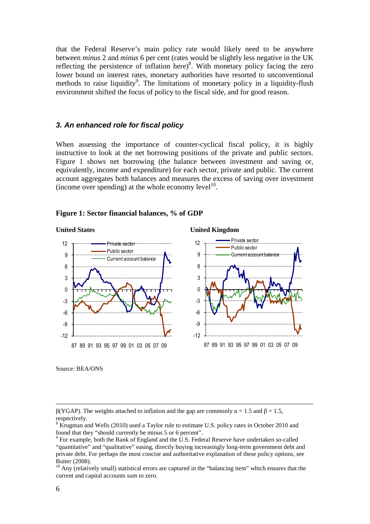that the Federal Reserve's main policy rate would likely need to be anywhere between *minus* 2 and *minus* 6 per cent (rates would be slightly less negative in the UK reflecting the persistence of inflation here)<sup>8</sup>. With monetary policy facing the zero lower bound on interest rates, monetary authorities have resorted to unconventional methods to raise liquidity<sup>9</sup>. The limitations of monetary policy in a liquidity-flush environment shifted the focus of policy to the fiscal side, and for good reason.

#### **3. An enhanced role for fiscal policy**

When assessing the importance of counter-cyclical fiscal policy, it is highly instructive to look at the net borrowing positions of the private and public sectors. Figure 1 shows net borrowing (the balance between investment and saving or, equivalently, income and expenditure) for each sector, private and public. The current account aggregates both balances and measures the excess of saving over investment (income over spending) at the whole economy level $1<sup>10</sup>$ .

#### **Figure 1: Sector financial balances, % of GDP**

### **United States United Kingdom**



Source: BEA/ONS

<u>.</u>

β(YGAP). The weights attached to inflation and the gap are commonly  $\alpha = 1.5$  and  $\beta = 1.5$ , respectively.

<sup>&</sup>lt;sup>8</sup> Krugman and Wells (2010) used a Taylor rule to estimate U.S. policy rates in October 2010 and found that they "should currently be minus 5 or 6 percent".

 $9^9$  For example, both the Bank of England and the U.S. Federal Reserve have undertaken so-called "quantitative" and "qualitative" easing, directly buying increasingly long-term government debt and private debt. For perhaps the most concise and authoritative explanation of these policy options, see Buiter (2008).

 $\frac{10}{10}$  Any (relatively small) statistical errors are captured in the "balancing item" which ensures that the current and capital accounts sum to zero.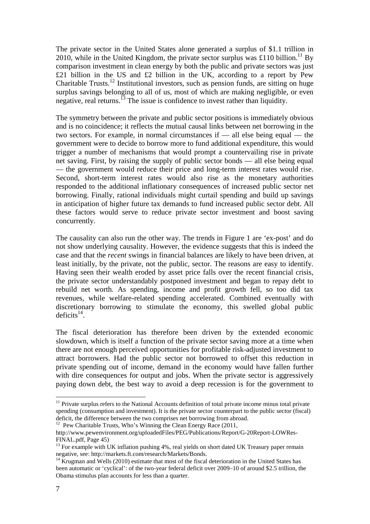The private sector in the United States alone generated a surplus of \$1.1 trillion in 2010, while in the United Kingdom, the private sector surplus was £110 billion.<sup>11</sup> By comparison investment in clean energy by both the public and private sectors was just £21 billion in the US and £2 billion in the UK, according to a report by Pew Charitable Trusts.<sup>12</sup> Institutional investors, such as pension funds, are sitting on huge surplus savings belonging to all of us, most of which are making negligible, or even negative, real returns.<sup>13</sup> The issue is confidence to invest rather than liquidity.

The symmetry between the private and public sector positions is immediately obvious and is no coincidence; it reflects the mutual causal links between net borrowing in the two sectors. For example, in normal circumstances if — all else being equal — the government were to decide to borrow more to fund additional expenditure, this would trigger a number of mechanisms that would prompt a countervailing rise in private net saving. First, by raising the supply of public sector bonds — all else being equal — the government would reduce their price and long-term interest rates would rise. Second, short-term interest rates would also rise as the monetary authorities responded to the additional inflationary consequences of increased public sector net borrowing. Finally, rational individuals might curtail spending and build up savings in anticipation of higher future tax demands to fund increased public sector debt. All these factors would serve to reduce private sector investment and boost saving concurrently.

The causality can also run the other way. The trends in Figure 1 are 'ex-post' and do not show underlying causality. However, the evidence suggests that this is indeed the case and that the *recent* swings in financial balances are likely to have been driven, at least initially, by the private, not the public, sector. The reasons are easy to identify. Having seen their wealth eroded by asset price falls over the recent financial crisis, the private sector understandably postponed investment and began to repay debt to rebuild net worth. As spending, income and profit growth fell, so too did tax revenues, while welfare-related spending accelerated. Combined eventually with discretionary borrowing to stimulate the economy, this swelled global public deficits<sup>14</sup>.

The fiscal deterioration has therefore been driven by the extended economic slowdown, which is itself a function of the private sector saving more at a time when there are not enough perceived opportunities for profitable risk-adjusted investment to attract borrowers. Had the public sector not borrowed to offset this reduction in private spending out of income, demand in the economy would have fallen further with dire consequences for output and jobs. When the private sector is aggressively paying down debt, the best way to avoid a deep recession is for the government to

<sup>&</sup>lt;sup>11</sup> Private surplus refers to the National Accounts definition of total private income minus total private spending (consumption and investment). It is the private sector counterpart to the public sector (fiscal) deficit, the difference between the two comprises net borrowing from abroad.

<sup>&</sup>lt;sup>12</sup> Pew Charitable Trusts, Who's Winning the Clean Energy Race (2011,

http://www.pewenvironment.org/uploadedFiles/PEG/Publications/Report/G-20Report-LOWRes-FINAL.pdf, Page 45)

<sup>&</sup>lt;sup>13</sup> For example with UK inflation pushing 4%, real yields on short dated UK Treasury paper remain negative, see: http://markets.ft.com/research/Markets/Bonds.

<sup>&</sup>lt;sup>14</sup> Krugman and Wells (2010) estimate that most of the fiscal deterioration in the United States has been automatic or 'cyclical': of the two-year federal deficit over 2009–10 of around \$2.5 trillion, the Obama stimulus plan accounts for less than a quarter.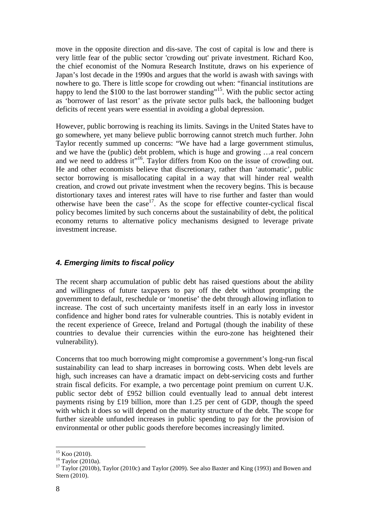move in the opposite direction and dis-save. The cost of capital is low and there is very little fear of the public sector 'crowding out' private investment. Richard Koo, the chief economist of the Nomura Research Institute, draws on his experience of Japan's lost decade in the 1990s and argues that the world is awash with savings with nowhere to go. There is little scope for crowding out when: "financial institutions are happy to lend the \$100 to the last borrower standing"<sup>15</sup>. With the public sector acting as 'borrower of last resort' as the private sector pulls back, the ballooning budget deficits of recent years were essential in avoiding a global depression.

However, public borrowing is reaching its limits. Savings in the United States have to go somewhere, yet many believe public borrowing cannot stretch much further. John Taylor recently summed up concerns: "We have had a large government stimulus, and we have the (public) debt problem, which is huge and growing …a real concern and we need to address it"<sup>16</sup>. Taylor differs from Koo on the issue of crowding out. He and other economists believe that discretionary, rather than 'automatic', public sector borrowing is misallocating capital in a way that will hinder real wealth creation, and crowd out private investment when the recovery begins. This is because distortionary taxes and interest rates will have to rise further and faster than would otherwise have been the case<sup>17</sup>. As the scope for effective counter-cyclical fiscal policy becomes limited by such concerns about the sustainability of debt, the political economy returns to alternative policy mechanisms designed to leverage private investment increase.

# **4. Emerging limits to fiscal policy**

The recent sharp accumulation of public debt has raised questions about the ability and willingness of future taxpayers to pay off the debt without prompting the government to default, reschedule or 'monetise' the debt through allowing inflation to increase. The cost of such uncertainty manifests itself in an early loss in investor confidence and higher bond rates for vulnerable countries. This is notably evident in the recent experience of Greece, Ireland and Portugal (though the inability of these countries to devalue their currencies within the euro-zone has heightened their vulnerability).

Concerns that too much borrowing might compromise a government's long-run fiscal sustainability can lead to sharp increases in borrowing costs. When debt levels are high, such increases can have a dramatic impact on debt-servicing costs and further strain fiscal deficits. For example, a two percentage point premium on current U.K. public sector debt of £952 billion could eventually lead to annual debt interest payments rising by £19 billion, more than 1.25 per cent of GDP, though the speed with which it does so will depend on the maturity structure of the debt. The scope for further sizeable unfunded increases in public spending to pay for the provision of environmental or other public goods therefore becomes increasingly limited.

 $15$  Koo (2010).

 $^{16}$  Taylor (2010a).

<sup>&</sup>lt;sup>17</sup> Taylor (2010b), Taylor (2010c) and Taylor (2009). See also Baxter and King (1993) and Bowen and Stern (2010).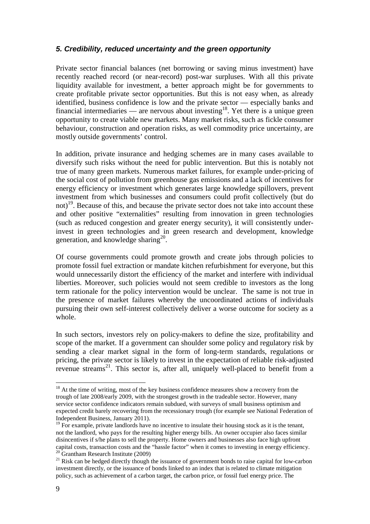# **5. Credibility, reduced uncertainty and the green opportunity**

Private sector financial balances (net borrowing or saving minus investment) have recently reached record (or near-record) post-war surpluses. With all this private liquidity available for investment, a better approach might be for governments to create profitable private sector opportunities. But this is not easy when, as already identified, business confidence is low and the private sector — especially banks and financial intermediaries — are nervous about investing<sup>18</sup>. Yet there is a unique green opportunity to create viable new markets. Many market risks, such as fickle consumer behaviour, construction and operation risks, as well commodity price uncertainty, are mostly outside governments' control.

In addition, private insurance and hedging schemes are in many cases available to diversify such risks without the need for public intervention. But this is notably not true of many green markets. Numerous market failures, for example under-pricing of the social cost of pollution from greenhouse gas emissions and a lack of incentives for energy efficiency or investment which generates large knowledge spillovers, prevent investment from which businesses and consumers could profit collectively (but do not)<sup>19</sup>. Because of this, and because the private sector does not take into account these and other positive "externalities" resulting from innovation in green technologies (such as reduced congestion and greater energy security), it will consistently underinvest in green technologies and in green research and development, knowledge generation, and knowledge sharing $^{20}$ .

Of course governments could promote growth and create jobs through policies to promote fossil fuel extraction or mandate kitchen refurbishment for everyone, but this would unnecessarily distort the efficiency of the market and interfere with individual liberties. Moreover, such policies would not seem credible to investors as the long term rationale for the policy intervention would be unclear. The same is not true in the presence of market failures whereby the uncoordinated actions of individuals pursuing their own self-interest collectively deliver a worse outcome for society as a whole.

In such sectors, investors rely on policy-makers to define the size, profitability and scope of the market. If a government can shoulder some policy and regulatory risk by sending a clear market signal in the form of long-term standards, regulations or pricing, the private sector is likely to invest in the expectation of reliable risk-adjusted revenue streams<sup>21</sup>. This sector is, after all, uniquely well-placed to benefit from a

<sup>&</sup>lt;sup>18</sup> At the time of writing, most of the key business confidence measures show a recovery from the trough of late 2008/early 2009, with the strongest growth in the tradeable sector. However, many service sector confidence indicators remain subdued, with surveys of small business optimism and expected credit barely recovering from the recessionary trough (for example see National Federation of Independent Business, January 2011).

 $19$  For example, private landlords have no incentive to insulate their housing stock as it is the tenant, not the landlord, who pays for the resulting higher energy bills. An owner occupier also faces similar disincentives if s/he plans to sell the property. Home owners and businesses also face high upfront capital costs, transaction costs and the "hassle factor" when it comes to investing in energy efficiency. <sup>20</sup> Grantham Research Institute (2009)

<sup>&</sup>lt;sup>21</sup> Risk can be hedged directly though the issuance of government bonds to raise capital for low-carbon investment directly, or the issuance of bonds linked to an index that is related to climate mitigation policy, such as achievement of a carbon target, the carbon price, or fossil fuel energy price. The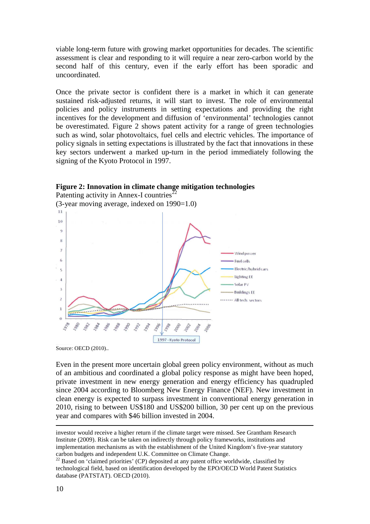viable long-term future with growing market opportunities for decades. The scientific assessment is clear and responding to it will require a near zero-carbon world by the second half of this century, even if the early effort has been sporadic and uncoordinated.

Once the private sector is confident there is a market in which it can generate sustained risk-adjusted returns, it will start to invest. The role of environmental policies and policy instruments in setting expectations and providing the right incentives for the development and diffusion of 'environmental' technologies cannot be overestimated. Figure 2 shows patent activity for a range of green technologies such as wind, solar photovoltaics, fuel cells and electric vehicles. The importance of policy signals in setting expectations is illustrated by the fact that innovations in these key sectors underwent a marked up-turn in the period immediately following the signing of the Kyoto Protocol in 1997.





Source: OECD (2010)..

Even in the present more uncertain global green policy environment, without as much of an ambitious and coordinated a global policy response as might have been hoped, private investment in new energy generation and energy efficiency has quadrupled since 2004 according to Bloomberg New Energy Finance (NEF). New investment in clean energy is expected to surpass investment in conventional energy generation in 2010, rising to between US\$180 and US\$200 billion, 30 per cent up on the previous year and compares with \$46 billion invested in 2004.

<u>.</u>

investor would receive a higher return if the climate target were missed. See Grantham Research Institute (2009). Risk can be taken on indirectly through policy frameworks, institutions and implementation mechanisms as with the establishment of the United Kingdom's five-year statutory carbon budgets and independent U.K. Committee on Climate Change.

<sup>&</sup>lt;sup>22</sup> Based on 'claimed priorities' (CP) deposited at any patent office worldwide, classified by technological field, based on identification developed by the EPO/OECD World Patent Statistics database (PATSTAT). OECD (2010).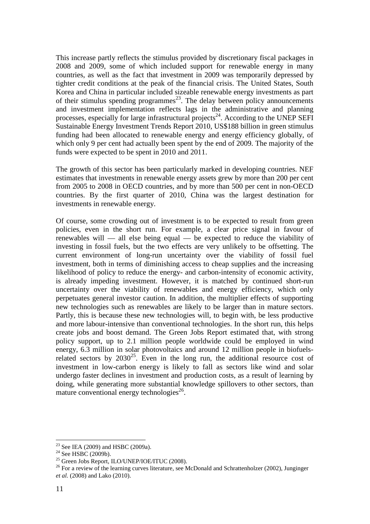This increase partly reflects the stimulus provided by discretionary fiscal packages in 2008 and 2009, some of which included support for renewable energy in many countries, as well as the fact that investment in 2009 was temporarily depressed by tighter credit conditions at the peak of the financial crisis. The United States, South Korea and China in particular included sizeable renewable energy investments as part of their stimulus spending programmes<sup>23</sup>. The delay between policy announcements and investment implementation reflects lags in the administrative and planning processes, especially for large infrastructural projects<sup>24</sup>. According to the UNEP SEFI Sustainable Energy Investment Trends Report 2010, US\$188 billion in green stimulus funding had been allocated to renewable energy and energy efficiency globally, of which only 9 per cent had actually been spent by the end of 2009. The majority of the funds were expected to be spent in 2010 and 2011.

The growth of this sector has been particularly marked in developing countries. NEF estimates that investments in renewable energy assets grew by more than 200 per cent from 2005 to 2008 in OECD countries, and by more than 500 per cent in non-OECD countries. By the first quarter of 2010, China was the largest destination for investments in renewable energy.

Of course, some crowding out of investment is to be expected to result from green policies, even in the short run. For example, a clear price signal in favour of renewables will — all else being equal — be expected to reduce the viability of investing in fossil fuels, but the two effects are very unlikely to be offsetting. The current environment of long-run uncertainty over the viability of fossil fuel investment, both in terms of diminishing access to cheap supplies and the increasing likelihood of policy to reduce the energy- and carbon-intensity of economic activity, is already impeding investment. However, it is matched by continued short-run uncertainty over the viability of renewables and energy efficiency, which only perpetuates general investor caution. In addition, the multiplier effects of supporting new technologies such as renewables are likely to be larger than in mature sectors. Partly, this is because these new technologies will, to begin with, be less productive and more labour-intensive than conventional technologies. In the short run, this helps create jobs and boost demand. The Green Jobs Report estimated that, with strong policy support, up to 2.1 million people worldwide could be employed in wind energy, 6.3 million in solar photovoltaics and around 12 million people in biofuelsrelated sectors by  $2030^{25}$ . Even in the long run, the additional resource cost of investment in low-carbon energy is likely to fall as sectors like wind and solar undergo faster declines in investment and production costs, as a result of learning by doing, while generating more substantial knowledge spillovers to other sectors, than mature conventional energy technologies<sup>26</sup>.

 $23$  See IEA (2009) and HSBC (2009a).

 $24$  See HSBC (2009b).

 $^{25}$  Green Jobs Report, ILO/UNEP/IOE/ITUC (2008).

<sup>&</sup>lt;sup>26</sup> For a review of the learning curves literature, see McDonald and Schrattenholzer (2002), Junginger *et al.* (2008) and Lako (2010).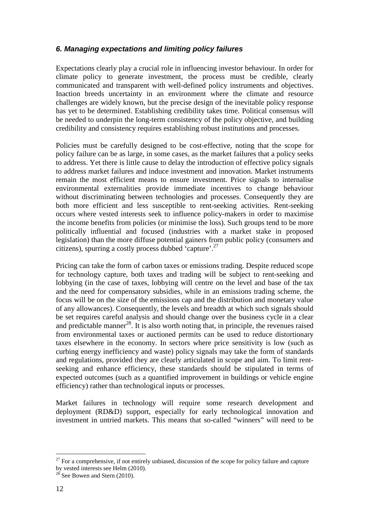# **6. Managing expectations and limiting policy failures**

Expectations clearly play a crucial role in influencing investor behaviour. In order for climate policy to generate investment, the process must be credible, clearly communicated and transparent with well-defined policy instruments and objectives. Inaction breeds uncertainty in an environment where the climate and resource challenges are widely known, but the precise design of the inevitable policy response has yet to be determined. Establishing credibility takes time. Political consensus will be needed to underpin the long-term consistency of the policy objective, and building credibility and consistency requires establishing robust institutions and processes.

Policies must be carefully designed to be cost-effective, noting that the scope for policy failure can be as large, in some cases, as the market failures that a policy seeks to address. Yet there is little cause to delay the introduction of effective policy signals to address market failures and induce investment and innovation. Market instruments remain the most efficient means to ensure investment. Price signals to internalise environmental externalities provide immediate incentives to change behaviour without discriminating between technologies and processes. Consequently they are both more efficient and less susceptible to rent-seeking activities. Rent-seeking occurs where vested interests seek to influence policy-makers in order to maximise the income benefits from policies (or minimise the loss). Such groups tend to be more politically influential and focused (industries with a market stake in proposed legislation) than the more diffuse potential gainers from public policy (consumers and citizens), spurring a costly process dubbed 'capture'.<sup>27</sup>

Pricing can take the form of carbon taxes or emissions trading. Despite reduced scope for technology capture, both taxes and trading will be subject to rent-seeking and lobbying (in the case of taxes, lobbying will centre on the level and base of the tax and the need for compensatory subsidies, while in an emissions trading scheme, the focus will be on the size of the emissions cap and the distribution and monetary value of any allowances). Consequently, the levels and breadth at which such signals should be set requires careful analysis and should change over the business cycle in a clear and predictable manner<sup>28</sup>. It is also worth noting that, in principle, the revenues raised from environmental taxes or auctioned permits can be used to reduce distortionary taxes elsewhere in the economy. In sectors where price sensitivity is low (such as curbing energy inefficiency and waste) policy signals may take the form of standards and regulations, provided they are clearly articulated in scope and aim. To limit rentseeking and enhance efficiency, these standards should be stipulated in terms of expected outcomes (such as a quantified improvement in buildings or vehicle engine efficiency) rather than technological inputs or processes.

Market failures in technology will require some research development and deployment (RD&D) support, especially for early technological innovation and investment in untried markets. This means that so-called "winners" will need to be

 $27$  For a comprehensive, if not entirely unbiased, discussion of the scope for policy failure and capture by vested interests see Helm (2010).

 $^{28}$  See Bowen and Stern (2010).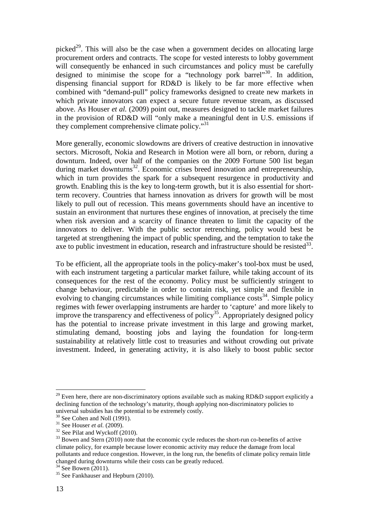picked<sup>29</sup>. This will also be the case when a government decides on allocating large procurement orders and contracts. The scope for vested interests to lobby government will consequently be enhanced in such circumstances and policy must be carefully designed to minimise the scope for a "technology pork barrel"<sup>30</sup>. In addition, dispensing financial support for RD&D is likely to be far more effective when combined with "demand-pull" policy frameworks designed to create new markets in which private innovators can expect a secure future revenue stream, as discussed above. As Houser *et al.* (2009) point out, measures designed to tackle market failures in the provision of RD&D will "only make a meaningful dent in U.S. emissions if they complement comprehensive climate policy."<sup>31</sup>

More generally, economic slowdowns are drivers of creative destruction in innovative sectors. Microsoft, Nokia and Research in Motion were all born, or reborn, during a downturn. Indeed, over half of the companies on the 2009 Fortune 500 list began during market downturns<sup>32</sup>. Economic crises breed innovation and entrepreneurship, which in turn provides the spark for a subsequent resurgence in productivity and growth. Enabling this is the key to long-term growth, but it is also essential for shortterm recovery. Countries that harness innovation as drivers for growth will be most likely to pull out of recession. This means governments should have an incentive to sustain an environment that nurtures these engines of innovation, at precisely the time when risk aversion and a scarcity of finance threaten to limit the capacity of the innovators to deliver. With the public sector retrenching, policy would best be targeted at strengthening the impact of public spending, and the temptation to take the axe to public investment in education, research and infrastructure should be resisted  $33$ .

To be efficient, all the appropriate tools in the policy-maker's tool-box must be used, with each instrument targeting a particular market failure, while taking account of its consequences for the rest of the economy. Policy must be sufficiently stringent to change behaviour, predictable in order to contain risk, yet simple and flexible in evolving to changing circumstances while limiting compliance  $\cos(s^{34})$ . Simple policy regimes with fewer overlapping instruments are harder to 'capture' and more likely to improve the transparency and effectiveness of policy<sup>35</sup>. Appropriately designed policy has the potential to increase private investment in this large and growing market, stimulating demand, boosting jobs and laying the foundation for long-term sustainability at relatively little cost to treasuries and without crowding out private investment. Indeed, in generating activity, it is also likely to boost public sector

 $29$  Even here, there are non-discriminatory options available such as making RD&D support explicitly a declining function of the technology's maturity, though applying non-discriminatory policies to universal subsidies has the potential to be extremely costly.

<sup>30</sup> See Cohen and Noll (1991).

<sup>31</sup> See Houser *et al.* (2009).

 $32$  See Pilat and Wyckoff (2010).

 $33$  Bowen and Stern (2010) note that the economic cycle reduces the short-run co-benefits of active climate policy, for example because lower economic activity may reduce the damage from local pollutants and reduce congestion. However, in the long run, the benefits of climate policy remain little changed during downturns while their costs can be greatly reduced.

 $34$  See Bowen (2011).

<sup>&</sup>lt;sup>35</sup> See Fankhauser and Hepburn (2010).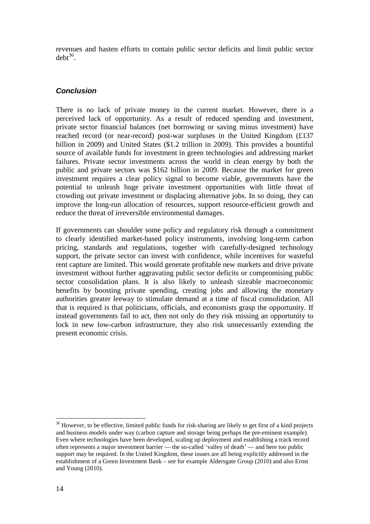revenues and hasten efforts to contain public sector deficits and limit public sector  $debt^{36}$ .

# **Conclusion**

There is no lack of private money in the current market. However, there is a perceived lack of opportunity. As a result of reduced spending and investment, private sector financial balances (net borrowing or saving minus investment) have reached record (or near-record) post-war surpluses in the United Kingdom (£137 billion in 2009) and United States (\$1.2 trillion in 2009). This provides a bountiful source of available funds for investment in green technologies and addressing market failures. Private sector investments across the world in clean energy by both the public and private sectors was \$162 billion in 2009. Because the market for green investment requires a clear policy signal to become viable, governments have the potential to unleash huge private investment opportunities with little threat of crowding out private investment or displacing alternative jobs. In so doing, they can improve the long-run allocation of resources, support resource-efficient growth and reduce the threat of irreversible environmental damages.

If governments can shoulder some policy and regulatory risk through a commitment to clearly identified market-based policy instruments, involving long-term carbon pricing, standards and regulations, together with carefully-designed technology support, the private sector can invest with confidence, while incentives for wasteful rent capture are limited. This would generate profitable new markets and drive private investment without further aggravating public sector deficits or compromising public sector consolidation plans. It is also likely to unleash sizeable macroeconomic benefits by boosting private spending, creating jobs and allowing the monetary authorities greater leeway to stimulate demand at a time of fiscal consolidation. All that is required is that politicians, officials, and economists grasp the opportunity. If instead governments fail to act, then not only do they risk missing an opportunity to lock in new low-carbon infrastructure, they also risk unnecessarily extending the present economic crisis.

<sup>&</sup>lt;sup>36</sup> However, to be effective, limited public funds for risk-sharing are likely to get first of a kind projects and business models under way (carbon capture and storage being perhaps the pre-eminent example). Even where technologies have been developed, scaling up deployment and establishing a track record often represents a major investment barrier — the so-called 'valley of death' — and here too public support may be required. In the United Kingdom, these issues are all being explicitly addressed in the establishment of a Green Investment Bank – see for example Aldersgate Group (2010) and also Ernst and Young (2010).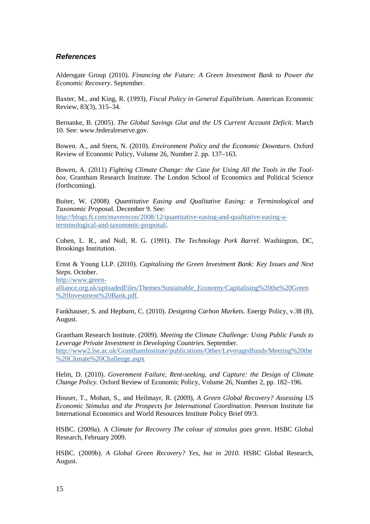#### **References**

Aldersgate Group (2010). *Financing the Future: A Green Investment Bank to Power the Economic Recovery*. September.

Baxter, M., and King, R. (1993), *Fiscal Policy in General Equilibrium.* American Economic Review, 83(3), 315–34.

Bernanke, B. (2005). *The Global Savings Glut and the US Current Account Deficit.* March 10. See: www.federalreserve.gov.

Bowen. A., and Stern, N. (2010). *Environment Policy and the Economic Downturn*. Oxford Review of Economic Policy, Volume 26, Number 2. pp. 137–163.

Bowen, A. (2011) *Fighting Climate Change: the Case for Using All the Tools in the Toolbox*. Grantham Research Institute. The London School of Economics and Political Science (forthcoming).

Buiter, W. (2008). *Quantitative Easing and Qualitative Easing: a Terminological and Taxonomic Proposa*l. December 9. See:

http://blogs.ft.com/maverecon/2008/12/quantitative-easing-and-qualitative-easing-aterminological-and-taxonomic-proposal/.

Cohen, L. R., and Noll, R. G. (1991). *The Technology Pork Barrel*. Washington, DC, Brookings Institution.

Ernst & Young LLP. (2010). *Capitalising the Green Investment Bank: Key Issues and Next Steps.* October.

http://www.green-

alliance.org.uk/uploadedFiles/Themes/Sustainable\_Economy/Capitalising%20the%20Green %20Investment%20Bank.pdf.

Fankhauser, S. and Hepburn, C. (2010). *Designing Carbon Markets*. Energy Policy, v.38 (8), August.

Grantham Research Institute. (2009). *Meeting the Climate Challenge: Using Public Funds to Leverage Private Investment in Developing Countries.* September. http://www2.lse.ac.uk/GranthamInstitute/publications/Other/Leveragedfunds/Meeting%20the %20Climate%20Challenge.aspx

Helm, D. (2010). *Government Failure, Rent-seeking, and Capture: the Design of Climate Change Policy*. Oxford Review of Economic Policy, Volume 26, Number 2, pp. 182–196.

Houser, T., Mohan, S., and Heilmayr, R. (2009), *A Green Global Recovery? Assessing US Economic Stimulus and the Prospects for International Coordination*. Peterson Institute for International Economics and World Resources Institute Policy Brief 09/3.

HSBC. (2009a). A *Climate for Recovery The colour of stimulus goes green*. HSBC Global Research, February 2009.

HSBC. (2009b). *A Global Green Recovery? Yes, but in 2010.* HSBC Global Research, August.